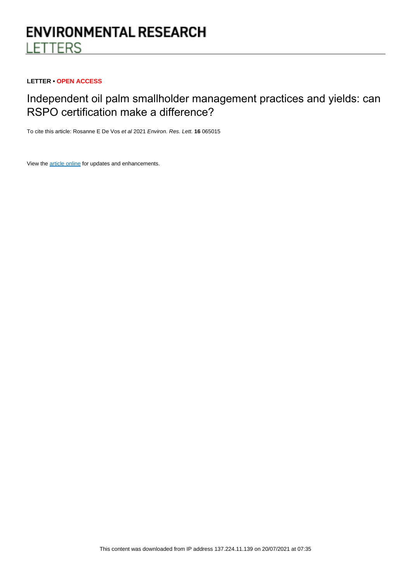# **ENVIRONMENTAL RESEARCH LETTERS**

## **LETTER • OPEN ACCESS**

## Independent oil palm smallholder management practices and yields: can RSPO certification make a difference?

To cite this article: Rosanne E De Vos et al 2021 Environ. Res. Lett. **16** 065015

View the [article online](https://doi.org/10.1088/1748-9326/ac018d) for updates and enhancements.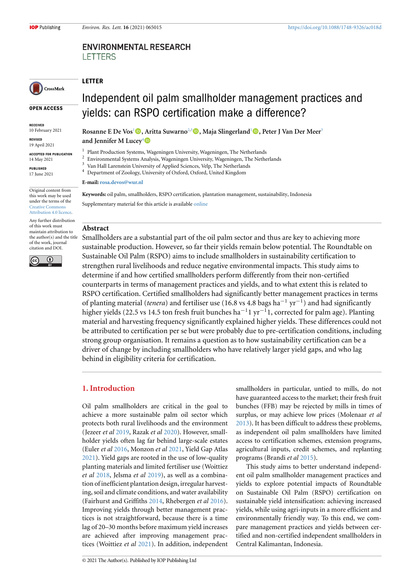## **ENVIRONMENTAL RESEARCH LETTERS**

## CrossMark

**OPEN ACCESS**

**RECEIVED** 10 February 2021

**REVISED** 19 April 2021

**ACCEPTED FOR PUBLICATION** 14 May 2021

**PUBLISHED** 17 June 2021

Original content from this work may be used under the terms of the [Creative Commons](https://creativecommons.org/licenses/by/4.0/) [Attribution 4.0 licence](https://creativecommons.org/licenses/by/4.0/).

Any further distribution of this work must maintain attribution to the author(s) and the title of the work, journal citation and DOI.



Independent oil palm smallholder management practices and yields: can RSPO certification make a difference?

**Rosanne E De Vos**[1](#page-1-0)**, Aritta Suwarno**[2,](#page-1-1)[3](#page-1-2)**, Maja Slingerland**[1](#page-1-0)**, Peter J Van Der Meer**[3](#page-1-2) **and Jennifer M Lucey**[4](#page-1-3)

- 1 Plant Production Systems, Wageningen University, Wageningen, The Netherlands  $\overline{2}$
- <span id="page-1-1"></span><span id="page-1-0"></span>Environmental Systems Analysis, Wageningen University, Wageningen, The Netherlands
- <sup>3</sup> Van Hall Larenstein University of Applied Sciences, Velp, The Netherlands
- <span id="page-1-2"></span><sup>4</sup> Department of Zoology, University of Oxford, Oxford, United Kingdom

<span id="page-1-3"></span>**E-mail: [rosa.devos@wur.nl](mailto:rosa.devos@wur.nl)**

**Keywords:** oil palm, smallholders, RSPO certification, plantation management, sustainability, Indonesia

Supplementary material for this article is available [online](http://doi.org/10.1088/1748-9326/ac018d)

## **Abstract**

**LETTER**

Smallholders are a substantial part of the oil palm sector and thus are key to achieving more sustainable production. However, so far their yields remain below potential. The Roundtable on Sustainable Oil Palm (RSPO) aims to include smallholders in sustainability certification to strengthen rural livelihoods and reduce negative environmental impacts. This study aims to determine if and how certified smallholders perform differently from their non-certified counterparts in terms of management practices and yields, and to what extent this is related to RSPO certification. Certified smallholders had significantly better management practices in terms of planting material (*tenera*) and fertiliser use (16.8 vs 4.8 bags ha*−*<sup>1</sup> yr*−*<sup>1</sup> ) and had significantly higher yields (22.5 vs 14.5 ton fresh fruit bunches ha*−*<sup>1</sup> 1 yr*−*<sup>1</sup> 1, corrected for palm age). Planting material and harvesting frequency significantly explained higher yields. These differences could not be attributed to certification per se but were probably due to pre-certification conditions, including strong group organisation. It remains a question as to how sustainability certification can be a driver of change by including smallholders who have relatively larger yield gaps, and who lag behind in eligibility criteria for certification.

## **1. Introduction**

Oil palm smallholders are critical in the goal to achieve a more sustainable palm oil sector which protects both rural livelihoods and the environment (Jezeer *et al* [2019](#page-9-0), Razak *et al* [2020\)](#page-10-0). However, smallholder yields often lag far behind large-scale estates (Euler *et al* [2016](#page-9-1), Monzon *et al* [2021,](#page-9-2) Yield Gap Atlas [2021](#page-10-1)). Yield gaps are rooted in the use of low-quality planting materials and limited fertiliser use (Woittiez *et al* [2018,](#page-10-2) Jelsma *et al* [2019](#page-9-3)), as well as a combination of inefficient plantation design, irregular harvesting, soil and climate conditions, and water availability (Fairhurst and Griffiths [2014](#page-9-4), Rhebergen *et al* [2016\)](#page-10-3). Improving yields through better management practices is not straightforward, because there is a time lag of 20–30 months before maximum yield increases are achieved after improving management practices (Woittiez *et al* [2021](#page-10-1)). In addition, independent

smallholders in particular, untied to mills, do not have guaranteed access to the market; their fresh fruit bunches (FFB) may be rejected by mills in times of surplus, or may achieve low prices (Molenaar *et al* [2013](#page-9-5)). It has been difficult to address these problems, as independent oil palm smallholders have limited access to certification schemes, extension programs, agricultural inputs, credit schemes, and replanting programs (Brandi *et al* [2015](#page-9-6)).

This study aims to better understand independent oil palm smallholder management practices and yields to explore potential impacts of Roundtable on Sustainable Oil Palm (RSPO) certification on sustainable yield intensification: achieving increased yields, while using agri-inputs in a more efficient and environmentally friendly way. To this end, we compare management practices and yields between certified and non-certified independent smallholders in Central Kalimantan, Indonesia.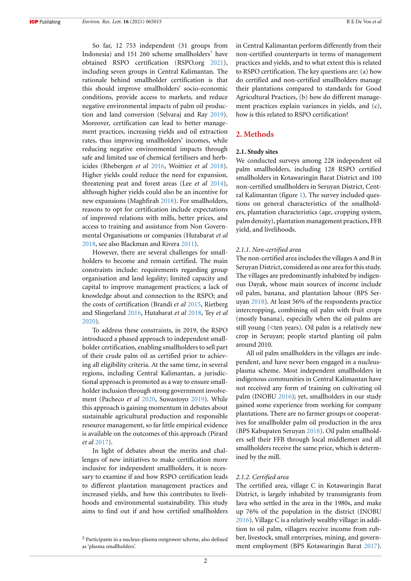So far, 12 753 independent (31 groups from Indonesia) and 1[5](#page-2-0)1 260 scheme smallholders<sup>5</sup> have obtained RSPO certification (RSPO.org [2021\)](#page-10-4), including seven groups in Central Kalimantan. The rationale behind smallholder certification is that this should improve smallholders' socio-economic conditions, provide access to markets, and reduce negative environmental impacts of palm oil production and land conversion (Selvaraj and Ray [2019\)](#page-10-5). Moreover, certification can lead to better management practices, increasing yields and oil extraction rates, thus improving smallholders' incomes, while reducing negative environmental impacts through safe and limited use of chemical fertilisers and herbicides (Rhebergen *et al* [2016](#page-10-3), Woittiez *et al* [2018\)](#page-10-2). Higher yields could reduce the need for expansion, threatening peat and forest areas (Lee *et al* [2014\)](#page-9-7), although higher yields could also be an incentive for new expansions (Maghfirah [2018](#page-9-8)). For smallholders, reasons to opt for certification include expectations of improved relations with mills, better prices, and access to training and assistance from Non Governmental Organisations or companies (Hutabarat *et al* [2018](#page-9-9), see also Blackman and Rivera [2011\)](#page-9-10).

However, there are several challenges for smallholders to become and remain certified. The main constraints include: requirements regarding group organisation and land legality; limited capacity and capital to improve management practices; a lack of knowledge about and connection to the RSPO; and the costs of certification (Brandi *et al* [2015,](#page-9-6) Rietberg and Slingerland [2016](#page-10-6), Hutabarat *et al* [2018,](#page-9-9) Tey *et al* [2020](#page-10-7)).

To address these constraints, in 2019, the RSPO introduced a phased approach to independent smallholder certification, enabling smallholders to sell part of their crude palm oil as certified prior to achieving all eligibility criteria. At the same time, in several regions, including Central Kalimantan, a jurisdictional approach is promoted as a way to ensure smallholder inclusion through strong government involvement (Pacheco *et al* [2020,](#page-9-11) Suwastoyo [2019](#page-10-8)). While this approach is gaining momentum in debates about sustainable agricultural production and responsible resource management, so far little empirical evidence is available on the outcomes of this approach (Pirard *et al* [2017](#page-10-9)).

In light of debates about the merits and challenges of new initiatives to make certification more inclusive for independent smallholders, it is necessary to examine if and how RSPO certification leads to different plantation management practices and increased yields, and how this contributes to livelihoods and environmental sustainability. This study aims to find out if and how certified smallholders in Central Kalimantan perform differently from their non-certified counterparts in terms of management practices and yields, and to what extent this is related to RSPO certification. The key questions are: (a) how do certified and non-certified smallholders manage their plantations compared to standards for Good Agricultural Practices, (b) how do different management practices explain variances in yields, and (c), how is this related to RSPO certification?

## **2. Methods**

#### **2.1. Study sites**

We conducted surveys among 228 independent oil palm smallholders, including 128 RSPO certified smallholders in Kotawaringin Barat District and 100 non-certified smallholders in Seruyan District, Central Kalimantan (figure [1\)](#page-3-0). The survey included questions on general characteristics of the smallholders, plantation characteristics (age, cropping system, palm density), plantation management practices, FFB yield, and livelihoods.

#### *2.1.1. Non-certified area*

The non-certified area includes the villages A and B in Seruyan District, considered as one area for this study. The villages are predominantly inhabited by indigenous Dayak, whose main sources of income include oil palm, banana, and plantation labour (BPS Seruyan [2018](#page-9-12)). At least 56% of the respondents practice intercropping, combining oil palm with fruit crops (mostly banana), especially when the oil palms are still young (<ten years). Oil palm is a relatively new crop in Seruyan; people started planting oil palm around 2010.

All oil palm smallholders in the villages are independent, and have never been engaged in a nucleusplasma scheme. Most independent smallholders in indigenous communities in Central Kalimantan have not received any form of training on cultivating oil palm (INOBU [2016\)](#page-9-13); yet, smallholders in our study gained some experience from working for company plantations. There are no farmer groups or cooperatives for smallholder palm oil production in the area (BPS Kabupaten Seruyan [2018\)](#page-9-12). Oil palm smallholders sell their FFB through local middlemen and all smallholders receive the same price, which is determined by the mill.

#### *2.1.2. Certified area*

The certified area, village C in Kotawaringin Barat District, is largely inhabited by transmigrants from Java who settled in the area in the 1980s, and make up 76% of the population in the district (INOBU [2016](#page-9-13)). Village C is a relatively wealthy village: in addition to oil palm, villagers receive income from rubber, livestock, small enterprises, mining, and government employment (BPS Kotawaringin Barat [2017\)](#page-9-14).

<span id="page-2-0"></span><sup>5</sup> Participants in a nucleus-plasma outgrower scheme, also defined as 'plasma smallholders'.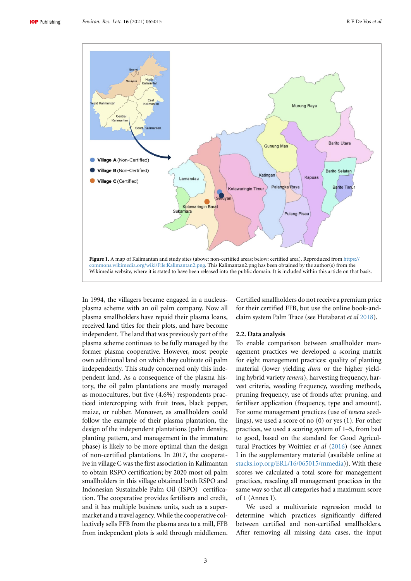<span id="page-3-0"></span>

In 1994, the villagers became engaged in a nucleusplasma scheme with an oil palm company. Now all plasma smallholders have repaid their plasma loans, received land titles for their plots, and have become independent. The land that was previously part of the plasma scheme continues to be fully managed by the former plasma cooperative. However, most people own additional land on which they cultivate oil palm independently. This study concerned only this independent land. As a consequence of the plasma history, the oil palm plantations are mostly managed as monocultures, but five (4.6%) respondents practiced intercropping with fruit trees, black pepper, maize, or rubber. Moreover, as smallholders could follow the example of their plasma plantation, the design of the independent plantations (palm density, planting pattern, and management in the immature phase) is likely to be more optimal than the design of non-certified plantations. In 2017, the cooperative in village C was the first association in Kalimantan to obtain RSPO certification; by 2020 most oil palm smallholders in this village obtained both RSPO and Indonesian Sustainable Palm Oil (ISPO) certification. The cooperative provides fertilisers and credit, and it has multiple business units, such as a supermarket and a travel agency. While the cooperative collectively sells FFB from the plasma area to a mill, FFB from independent plots is sold through middlemen. Certified smallholders do not receive a premium price for their certified FFB, but use the online book-andclaim system Palm Trace (see Hutabarat *et al* [2018\)](#page-9-9).

#### **2.2. Data analysis**

To enable comparison between smallholder management practices we developed a scoring matrix for eight management practices: quality of planting material (lower yielding *dura* or the higher yielding hybrid variety *tenera*), harvesting frequency, harvest criteria, weeding frequency, weeding methods, pruning frequency, use of fronds after pruning, and fertiliser application (frequency, type and amount). For some management practices (use of *tenera* seedlings), we used a score of no (0) or yes (1). For other practices, we used a scoring system of 1–5, from bad to good, based on the standard for Good Agricultural Practices by Woittiez *et al* [\(2016\)](#page-10-10) (see Annex I in the supplementary material (available online at [stacks.iop.org/ERL/16/065015/mmedia\)](https://stacks.iop.org/ERL/16/065015/mmedia)). With these scores we calculated a total score for management practices, rescaling all management practices in the same way so that all categories had a maximum score of 1 (Annex I).

We used a multivariate regression model to determine which practices significantly differed between certified and non-certified smallholders. After removing all missing data cases, the input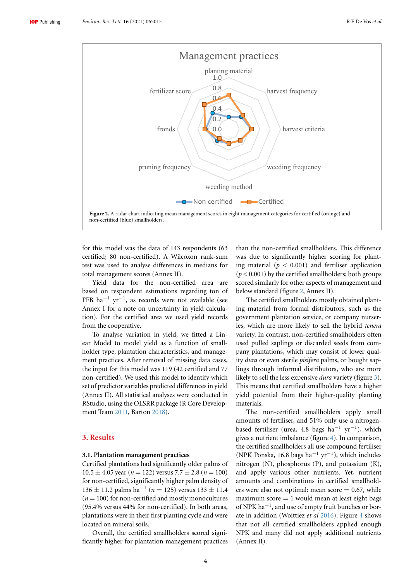<span id="page-4-0"></span>

for this model was the data of 143 respondents (63 certified; 80 non-certified). A Wilcoxon rank-sum test was used to analyse differences in medians for total management scores (Annex II).

Yield data for the non-certified area are based on respondent estimations regarding ton of FFB ha*−*<sup>1</sup> yr*−*<sup>1</sup> , as records were not available (see Annex I for a note on uncertainty in yield calculation). For the certified area we used yield records from the cooperative.

To analyse variation in yield, we fitted a Linear Model to model yield as a function of smallholder type, plantation characteristics, and management practices. After removal of missing data cases, the input for this model was 119 (42 certified and 77 non-certified). We used this model to identify which set of predictor variables predicted differences in yield (Annex II). All statistical analyses were conducted in RStudio, using the OLSRR package (R Core Development Team [2011](#page-10-11), Barton [2018](#page-9-15)).

## **3. Results**

#### **3.1. Plantation management practices**

Certified plantations had significantly older palms of  $10.5 \pm 4.05$  year ( $n = 122$ ) versus  $7.7 \pm 2.8$  ( $n = 100$ ) for non-certified, significantly higher palm density of <sup>136</sup> *<sup>±</sup>* 11.2 palms ha*−*<sup>1</sup> (*n* = 125) versus 133 *±* 11.4  $(n = 100)$  for non-certified and mostly monocultures (95.4% versus 44% for non-certified). In both areas, plantations were in their first planting cycle and were located on mineral soils.

Overall, the certified smallholders scored significantly higher for plantation management practices than the non-certified smallholders. This difference was due to significantly higher scoring for planting material ( $p < 0.001$ ) and fertiliser application  $(p < 0.001)$  by the certified smallholders; both groups scored similarly for other aspects of management and below standard (figure [2](#page-4-0), Annex II).

The certified smallholders mostly obtained planting material from formal distributors, such as the government plantation service, or company nurseries, which are more likely to sell the hybrid *tenera* variety. In contrast, non-certified smallholders often used pulled saplings or discarded seeds from company plantations, which may consist of lower quality *dura* or even sterile *pisifera* palms, or bought saplings through informal distributors, who are more likely to sell the less expensive *dura* variety (figure [3\)](#page-5-0). This means that certified smallholders have a higher yield potential from their higher-quality planting materials.

The non-certified smallholders apply small amounts of fertiliser, and 51% only use a nitrogenbased fertiliser (urea, 4.8 bags ha*−*<sup>1</sup> yr*−*<sup>1</sup> ), which gives a nutrient imbalance (figure [4](#page-5-1)). In comparison, the certified smallholders all use compound fertiliser (NPK Ponska, 16.8 bags ha*−*<sup>1</sup> yr*−*<sup>1</sup> ), which includes nitrogen (N), phosphorus (P), and potassium (K), and apply various other nutrients. Yet, nutrient amounts and combinations in certified smallholders were also not optimal: mean score  $= 0.67$ , while maximum score  $= 1$  would mean at least eight bags of NPK ha*−*<sup>1</sup> , and use of empty fruit bunches or borate in addition (Woittiez *et al* [2016\)](#page-10-10). Figure [4](#page-5-1) shows that not all certified smallholders applied enough NPK and many did not apply additional nutrients (Annex II).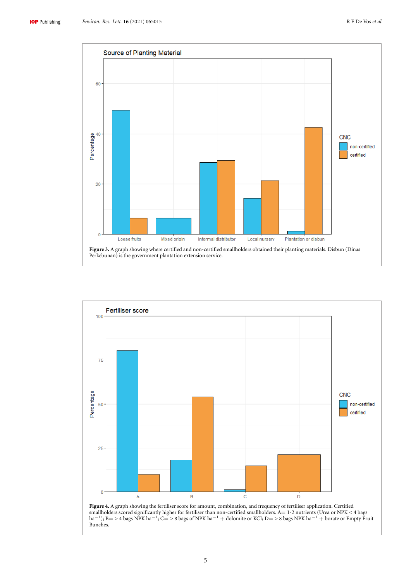<span id="page-5-0"></span>

<span id="page-5-1"></span>

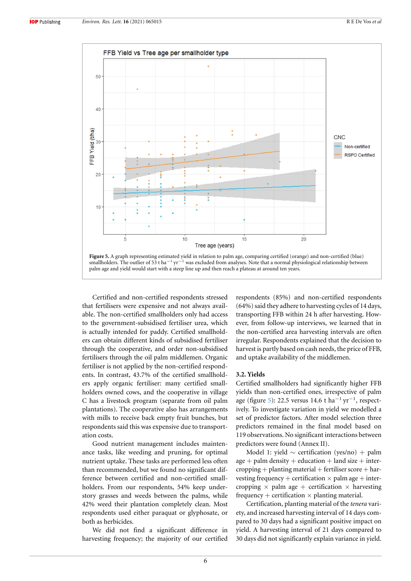<span id="page-6-0"></span>

Certified and non-certified respondents stressed that fertilisers were expensive and not always available. The non-certified smallholders only had access to the government-subsidised fertiliser urea, which is actually intended for paddy. Certified smallholders can obtain different kinds of subsidised fertiliser through the cooperative, and order non-subsidised fertilisers through the oil palm middlemen. Organic fertiliser is not applied by the non-certified respondents. In contrast, 43.7% of the certified smallholders apply organic fertiliser: many certified smallholders owned cows, and the cooperative in village C has a livestock program (separate from oil palm plantations). The cooperative also has arrangements with mills to receive back empty fruit bunches, but respondents said this was expensive due to transportation costs.

Good nutrient management includes maintenance tasks, like weeding and pruning, for optimal nutrient uptake. These tasks are performed less often than recommended, but we found no significant difference between certified and non-certified smallholders. From our respondents, 54% keep understory grasses and weeds between the palms, while 42% weed their plantation completely clean. Most respondents used either paraquat or glyphosate, or both as herbicides.

We did not find a significant difference in harvesting frequency; the majority of our certified respondents (85%) and non-certified respondents (64%) said they adhere to harvesting cycles of 14 days, transporting FFB within 24 h after harvesting. However, from follow-up interviews, we learned that in the non-certified area harvesting intervals are often irregular. Respondents explained that the decision to harvest is partly based on cash needs, the price of FFB, and uptake availability of the middlemen.

## **3.2. Yields**

Certified smallholders had significantly higher FFB yields than non-certified ones, irrespective of palm age (figure [5\)](#page-6-0): 22.5 versus 14.6 t ha*−*<sup>1</sup> yr*−*<sup>1</sup> , respectively. To investigate variation in yield we modelled a set of predictor factors. After model selection three predictors remained in the final model based on 119 observations. No significant interactions between predictors were found (Annex II).

Model 1: yield *∼* certification (yes/no) + palm  $age + palm density + education + land size + inter$  $c$ ropping + planting material + fertiliser score + harvesting frequency + certification  $\times$  palm age + intercropping  $\times$  palm age + certification  $\times$  harvesting frequency  $+$  certification  $\times$  planting material.

Certification, planting material of the *tenera* variety, and increased harvesting interval of 14 days compared to 30 days had a significant positive impact on yield. A harvesting interval of 21 days compared to 30 days did not significantly explain variance in yield.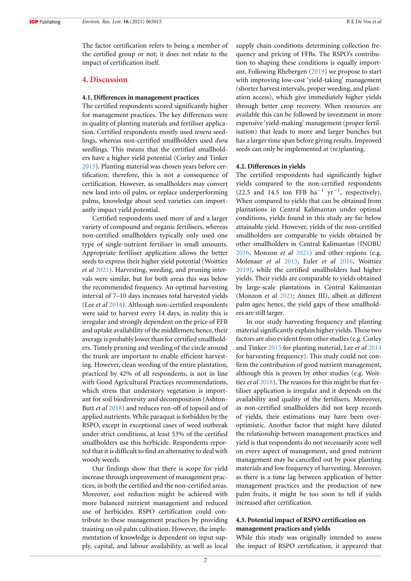The factor certification refers to being a member of the certified group or not; it does not relate to the impact of certification itself.

## **4. Discussion**

#### **4.1. Differences in management practices**

The certified respondents scored significantly higher for management practices. The key differences were in quality of planting materials and fertiliser application. Certified respondents mostly used *tenera* seedlings, whereas non-certified smallholders used *dura* seedlings. This means that the certified smallholders have a higher yield potential (Corley and Tinker [2015](#page-9-16)). Planting material was chosen years before certification; therefore, this is not a consequence of certification. However, as smallholders may convert new land into oil palm, or replace underperforming palms, knowledge about seed varieties can importantly impact yield potential.

Certified respondents used more of and a larger variety of compound and organic fertilisers, whereas non-certified smallholders typically only used one type of single-nutrient fertiliser in small amounts. Appropriate fertiliser application allows the better seeds to express their higher yield potential (Woittiez *et al* [2021](#page-10-1)). Harvesting, weeding, and pruning intervals were similar, but for both areas this was below the recommended frequency. An optimal harvesting interval of 7–10 days increases total harvested yields (Lee *et al* [2014](#page-9-7)). Although non-certified respondents were said to harvest every 14 days, in reality this is irregular and strongly dependent on the price of FFB and uptake availability of the middlemen; hence, their average is probably lower than for certified smallholders. Timely pruning and weeding of the circle around the trunk are important to enable efficient harvesting. However, clean weeding of the entire plantation, practiced by 42% of all respondents, is not in line with Good Agricultural Practices recommendations, which stress that understory vegetation is important for soil biodiversity and decomposition (Ashton-Butt *et al* [2018\)](#page-9-17) and reduces run-off of topsoil and of applied nutrients. While paraquat is forbidden by the RSPO, except in exceptional cases of weed outbreak under strict conditions, at least 53% of the certified smallholders use this herbicide. Respondents reported that it is difficult to find an alternative to deal with woody weeds.

Our findings show that there is scope for yield increase through improvement of management practices, in both the certified and the non-certified areas. Moreover, cost reduction might be achieved with more balanced nutrient management and reduced use of herbicides. RSPO certification could contribute to these management practices by providing training on oil palm cultivation. However, the implementation of knowledge is dependent on input supply, capital, and labour availability, as well as local supply chain conditions determining collection frequency and pricing of FFBs. The RSPO's contribution to shaping these conditions is equally important. Following Rhebergen [\(2019](#page-10-12)) we propose to start with improving low-cost 'yield-taking' management (shorter harvest intervals, proper weeding, and plantation access), which give immediately higher yields through better crop recovery. When resources are available this can be followed by investment in more expensive 'yield-making' management (proper fertilisation) that leads to more and larger bunches but has a larger time span before giving results. Improved seeds can only be implemented at (re)planting.

#### **4.2. Differences in yields**

The certified respondents had significantly higher yields compared to the non-certified respondents (22.5 and 14.5 ton FFB ha*−*<sup>1</sup> yr*−*<sup>1</sup> , respectively). When compared to yields that can be obtained from plantations in Central Kalimantan under optimal conditions, yields found in this study are far below attainable yield. However, yields of the non-certified smallholders are comparable to yields obtained by other smallholders in Central Kalimantan (INOBU [2016](#page-9-13), Monzon *et al* [2021](#page-9-2)) and other regions (e.g. Molenaar *et al* [2013](#page-9-5), Euler *et al* [2016](#page-9-1), Woittiez [2019](#page-10-13)), while the certified smallholders had higher yields. Their yields are comparable to yields obtained by large-scale plantations in Central Kalimantan (Monzon *et al* [2021;](#page-9-2) Annex III), albeit at different palm ages; hence, the yield gaps of these smallholders are still larger.

In our study harvesting frequency and planting material significantly explain higher yields. These two factors are also evident from other studies (e.g. Corley and Tinker [2015](#page-9-16) for planting material, Lee *et al* [2014](#page-9-7) for harvesting frequency). This study could not confirm the contribution of good nutrient management, although this is proven by other studies (e.g. Woittiez *et al* [2018](#page-10-2)). The reasons for this might be that fertiliser application is irregular and it depends on the availability and quality of the fertilisers. Moreover, as non-certified smallholders did not keep records of yields, their estimations may have been overoptimistic. Another factor that might have diluted the relationship between management practices and yield is that respondents do not necessarily score well on every aspect of management, and good nutrient management may be cancelled out by poor planting materials and low frequency of harvesting. Moreover, as there is a time lag between application of better management practices and the production of new palm fruits, it might be too soon to tell if yields increased after certification.

## **4.3. Potential impact of RSPO certification on management practices and yields**

While this study was originally intended to assess the impact of RSPO certification, it appeared that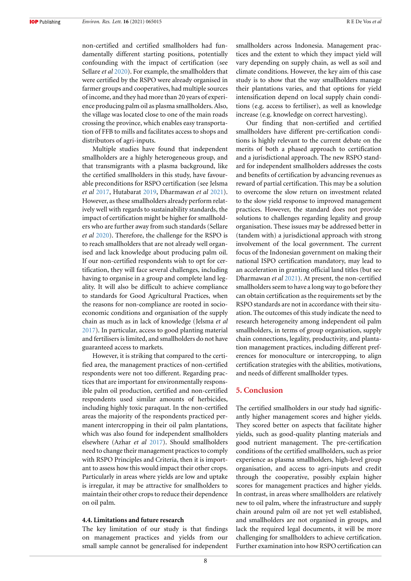non-certified and certified smallholders had fundamentally different starting positions, potentially confounding with the impact of certification (see Sellare *et al* [2020\)](#page-10-14). For example, the smallholders that were certified by the RSPO were already organised in farmer groups and cooperatives, had multiple sources of income, and they had more than 20 years of experience producing palm oil as plasma smallholders. Also, the village was located close to one of the main roads crossing the province, which enables easy transportation of FFB to mills and facilitates access to shops and distributors of agri-inputs.

Multiple studies have found that independent smallholders are a highly heterogeneous group, and that transmigrants with a plasma background, like the certified smallholders in this study, have favourable preconditions for RSPO certification (see Jelsma *et al* [2017](#page-9-18), Hutabarat [2019,](#page-9-19) Dharmawan *et al* [2021\)](#page-9-20). However, as these smallholders already perform relatively well with regards to sustainability standards, the impact of certification might be higher for smallholders who are further away from such standards (Sellare *et al* [2020](#page-10-14)). Therefore, the challenge for the RSPO is to reach smallholders that are not already well organised and lack knowledge about producing palm oil. If our non-certified respondents wish to opt for certification, they will face several challenges, including having to organise in a group and complete land legality. It will also be difficult to achieve compliance to standards for Good Agricultural Practices, when the reasons for non-compliance are rooted in socioeconomic conditions and organisation of the supply chain as much as in lack of knowledge (Jelsma *et al* [2017](#page-9-18)). In particular, access to good planting material and fertilisers is limited, and smallholders do not have guaranteed access to markets.

However, it is striking that compared to the certified area, the management practices of non-certified respondents were not too different. Regarding practices that are important for environmentally responsible palm oil production, certified and non-certified respondents used similar amounts of herbicides, including highly toxic paraquat. In the non-certified areas the majority of the respondents practiced permanent intercropping in their oil palm plantations, which was also found for independent smallholders elsewhere (Azhar *et al* [2017\)](#page-9-21). Should smallholders need to change their management practices to comply with RSPO Principles and Criteria, then it is important to assess how this would impact their other crops. Particularly in areas where yields are low and uptake is irregular, it may be attractive for smallholders to maintain their other crops to reduce their dependence on oil palm.

#### **4.4. Limitations and future research**

The key limitation of our study is that findings on management practices and yields from our small sample cannot be generalised for independent

smallholders across Indonesia. Management practices and the extent to which they impact yield will vary depending on supply chain, as well as soil and climate conditions. However, the key aim of this case study is to show that the way smallholders manage their plantations varies, and that options for yield intensification depend on local supply chain conditions (e.g. access to fertiliser), as well as knowledge increase (e.g. knowledge on correct harvesting).

Our finding that non-certified and certified smallholders have different pre-certification conditions is highly relevant to the current debate on the merits of both a phased approach to certification and a jurisdictional approach. The new RSPO standard for independent smallholders addresses the costs and benefits of certification by advancing revenues as reward of partial certification. This may be a solution to overcome the slow return on investment related to the slow yield response to improved management practices. However, the standard does not provide solutions to challenges regarding legality and group organisation. These issues may be addressed better in (tandem with) a jurisdictional approach with strong involvement of the local government. The current focus of the Indonesian government on making their national ISPO certification mandatory, may lead to an acceleration in granting official land titles (but see Dharmawan *et al* [2021\)](#page-9-20). At present, the non-certified smallholders seem to have a long way to go before they can obtain certification as the requirements set by the RSPO standards are not in accordance with their situation. The outcomes of this study indicate the need to research heterogeneity among independent oil palm smallholders, in terms of group organisation, supply chain connections, legality, productivity, and plantation management practices, including different preferences for monoculture or intercropping, to align certification strategies with the abilities, motivations, and needs of different smallholder types.

## **5. Conclusion**

The certified smallholders in our study had significantly higher management scores and higher yields. They scored better on aspects that facilitate higher yields, such as good-quality planting materials and good nutrient management. The pre-certification conditions of the certified smallholders, such as prior experience as plasma smallholders, high-level group organisation, and access to agri-inputs and credit through the cooperative, possibly explain higher scores for management practices and higher yields. In contrast, in areas where smallholders are relatively new to oil palm, where the infrastructure and supply chain around palm oil are not yet well established, and smallholders are not organised in groups, and lack the required legal documents, it will be more challenging for smallholders to achieve certification. Further examination into how RSPO certification can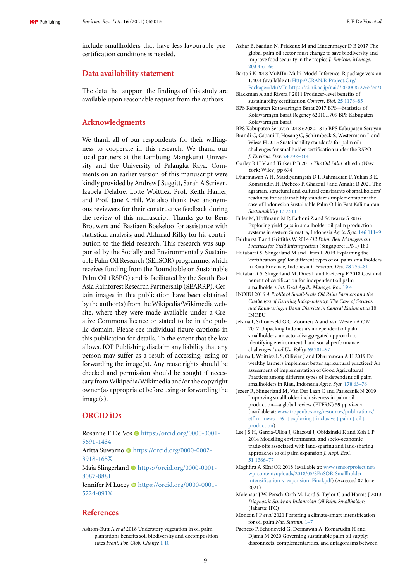include smallholders that have less-favourable precertification conditions is needed.

## **Data availability statement**

The data that support the findings of this study are available upon reasonable request from the authors.

## **Acknowledgments**

We thank all of our respondents for their willingness to cooperate in this research. We thank our local partners at the Lambung Mangkurat University and the University of Palangka Raya. Comments on an earlier version of this manuscript were kindly provided by Andrew J Suggitt, Sarah A Scriven, Izabela Delabre, Lotte Woittiez, Prof. Keith Hamer, and Prof. Jane K Hill. We also thank two anonymous reviewers for their constructive feedback during the review of this manuscript. Thanks go to Rens Brouwers and Bastiaen Boekeloo for assistance with statistical analysis, and Akhmad Rifky for his contribution to the field research. This research was supported by the Socially and Environmentally Sustainable Palm Oil Research (SEnSOR) programme, which receives funding from the Roundtable on Sustainable Palm Oil (RSPO) and is facilitated by the South East Asia Rainforest Research Partnership (SEARRP). Certain images in this publication have been obtained by the author(s) from the Wikipedia/Wikimedia website, where they were made available under a Creative Commons licence or stated to be in the public domain. Please see individual figure captions in this publication for details. To the extent that the law allows, IOP Publishing disclaim any liability that any person may suffer as a result of accessing, using or forwarding the image(s). Any reuse rights should be checked and permission should be sought if necessary from Wikipedia/Wikimedia and/or the copyright owner (as appropriate) before using or forwarding the image(s).

## **ORCID iDs**

Rosanne E De Vos  $\bullet$  [https://orcid.org/0000-0001-](https://orcid.org/0000-0001-5691-1434) [5691-1434](https://orcid.org/0000-0001-5691-1434) Aritta Suwarno **I**nttps://orcid.org/0000-0002-[3918-165X](https://orcid.org/0000-0002-3918-165X)

Maja Slingerland **I**nttps://orcid.org/0000-0001-[8087-8881](https://orcid.org/0000-0001-8087-8881)

Jennifer M Lucey in [https://orcid.org/0000-0001-](https://orcid.org/0000-0001-5224-091X) [5224-091X](https://orcid.org/0000-0001-5224-091X)

#### **References**

<span id="page-9-17"></span>Ashton-Butt A *et al* 2018 Understory vegetation in oil palm plantations benefits soil biodiversity and decomposition rates *Front. For. Glob. Change* **[1](https://doi.org/10.3389/ffgc.2018.00010)** [10](https://doi.org/10.3389/ffgc.2018.00010)

- <span id="page-9-21"></span>Azhar B, Saadun N, Prideaux M and Lindenmayer D B 2017 The global palm oil sector must change to save biodiversity and improve food security in the tropics *J. Environ. Manage.* **[203](https://doi.org/10.1016/j.jenvman.2017.08.021)** [457–66](https://doi.org/10.1016/j.jenvman.2017.08.021)
- <span id="page-9-15"></span>Bartoń K 2018 MuMIn: Multi-Model Inference. R package version 1.40.4 (available at: [Http://CRAN.R-Project.Org/](Http://CRAN.R-Project.Org/Package=MuMIn https://ci.nii.ac.jp/naid/20000872765/en/)) Package=[MuMIn https://ci.nii.ac.jp/naid/20000872765/en/\)](Http://CRAN.R-Project.Org/Package=MuMIn https://ci.nii.ac.jp/naid/20000872765/en/))
- <span id="page-9-10"></span>Blackman A and Rivera J 2011 Producer-level benefits of sustainability certification *Conserv. Biol.* **[25](https://doi.org/10.1111/j.1523-1739.2011.01774.x)** [1176–85](https://doi.org/10.1111/j.1523-1739.2011.01774.x)
- <span id="page-9-14"></span>BPS Kabupaten Kotawaringin Barat 2017 BPS—Statistics of Kotawaringin Barat Regency 62010.1709 BPS Kabupaten Kotawaringin Barat
- <span id="page-9-12"></span>BPS Kabupaten Seruyan 2018 62080.1815 BPS Kabupaten Seruyan
- <span id="page-9-6"></span>Brandi C, Cabani T, Hosang C, Schirmbeck S, Westermann L and Wiese H 2015 Sustainability standards for palm oil: challenges for smallholder certification under the RSPO *J. Environ. Dev.* **[24](https://doi.org/10.1177/1070496515593775)** [292–314](https://doi.org/10.1177/1070496515593775)
- <span id="page-9-16"></span>Corley R H V and Tinker P B 2015 *The Oil Palm* 5th edn (New York: Wiley) pp 674
- <span id="page-9-20"></span>Dharmawan A H, Mardiyaningsih D I, Rahmadian F, Yulian B E, Komarudin H, Pacheco P, Ghazoul J and Amalia R 2021 The agrarian, structural and cultural constraints of smallholders' readiness for sustainability standards implementation: the case of Indonesian Sustainable Palm Oil in East Kalimantan *Sustainability* **[13](https://doi.org/10.3390/su13052611)** [2611](https://doi.org/10.3390/su13052611)
- <span id="page-9-1"></span>Euler M, Hoffmann M P, Fathoni Z and Schwarze S 2016 Exploring yield gaps in smallholder oil palm production systems in eastern Sumatra, Indonesia *Agric. Syst.* **[146](https://doi.org/10.1016/j.agsy.2016.04.007)** [111–9](https://doi.org/10.1016/j.agsy.2016.04.007)
- <span id="page-9-4"></span>Fairhurst T and Griffiths W 2014 *Oil Palm: Best Management Practices for Yield Intensification* (Singapore: IPNI) 180
- <span id="page-9-19"></span>Hutabarat S, Slingerland M and Dries L 2019 Explaining the 'certification gap' for different types of oil palm smallholders in Riau Province, Indonesia *J. Environ. Dev.* **[28](https://doi.org/10.1177/1070496519854505)** [253–81](https://doi.org/10.1177/1070496519854505)
- <span id="page-9-9"></span>Hutabarat S, Slingerland M, Dries L and Rietberg P 2018 Cost and benefit of certification for independent oil palm smallholders *Int. Food Agrib. Manage. Rev.* **[19](https://doi.org/10.22004/ag.econ.274984)** [4](https://doi.org/10.22004/ag.econ.274984)
- <span id="page-9-13"></span>INOBU 2016 *A Profile of Small-Scale Oil Palm Farmers and the Challenges of Farming Independently. The Case of Seruyan and Kotawaringin Barat Districts in Central Kalimantan* 10 INOBU
- <span id="page-9-18"></span>Jelsma I, Schoneveld G C, Zoomers A and Van Westen A C M 2017 Unpacking Indonesia's independent oil palm smallholders: an actor-disaggregated approach to identifying environmental and social performance challenges *Land Use Policy* **[69](https://doi.org/10.1016/j.landusepol.2017.08.012)** [281–97](https://doi.org/10.1016/j.landusepol.2017.08.012)
- <span id="page-9-3"></span>Jelsma I, Woittiez L S, Ollivier J and Dharmawan A H 2019 Do wealthy farmers implement better agricultural practices? An assessment of implementation of Good Agricultural Practices among different types of independent oil palm smallholders in Riau, Indonesia *Agric. Syst.* **[170](https://doi.org/10.1016/j.agsy.2018.11.004)** [63–76](https://doi.org/10.1016/j.agsy.2018.11.004)
- <span id="page-9-0"></span>Jezeer R, Slingerland M, Van Der Laan C and Pasiecznik N 2019 Improving smallholder inclusiveness in palm oil production—a global review (ETFRN) **59** pp vi–xix (available at: [www.tropenbos.org/resources/publications/](https://www.tropenbos.org/resources/publications/etfrn+news+59:+exploring+inclusive+palm+oil+production) etfrn+news+59:+[exploring](https://www.tropenbos.org/resources/publications/etfrn+news+59:+exploring+inclusive+palm+oil+production)+inclusive+palm+oil+ [production](https://www.tropenbos.org/resources/publications/etfrn+news+59:+exploring+inclusive+palm+oil+production))
- <span id="page-9-7"></span>Lee J S H, Garcia-Ulloa J, Ghazoul J, Obidzinski K and Koh L P 2014 Modelling environmental and socio-economic trade-offs associated with land-sparing and land-sharing approaches to oil palm expansion *J. Appl. Ecol.* **[51](https://doi.org/10.1111/1365-2664.12286)** [1366–77](https://doi.org/10.1111/1365-2664.12286)
- <span id="page-9-8"></span>Maghfira A SEnSOR 2018 (available at: [www.sensorproject.net/](http://www.sensorproject.net/wp-content/uploads/2018/05/SEnSOR-Smallholder-intensification-v-expansion_Final.pdf) [wp-content/uploads/2018/05/SEnSOR-Smallholder](http://www.sensorproject.net/wp-content/uploads/2018/05/SEnSOR-Smallholder-intensification-v-expansion_Final.pdf)[intensification-v-expansion\\_Final.pdf\)](http://www.sensorproject.net/wp-content/uploads/2018/05/SEnSOR-Smallholder-intensification-v-expansion_Final.pdf) (Accessed 07 June 2021)
- <span id="page-9-5"></span>Molenaar J W, Persch-Orth M, Lord S, Taylor C and Harms J 2013 *Diagnostic Study on Indonesian Oil Palm Smallholders* (Jakarta: IFC)
- <span id="page-9-2"></span>Monzon J P *et al* 2021 Fostering a climate-smart intensification for oil palm *Nat. Sustain.* [1–7](https://doi.org/10.1038/s41893-021-00700-y)
- <span id="page-9-11"></span>Pacheco P, Schoneveld G, Dermawan A, Komarudin H and Djama M 2020 Governing sustainable palm oil supply: disconnects, complementarities, and antagonisms between